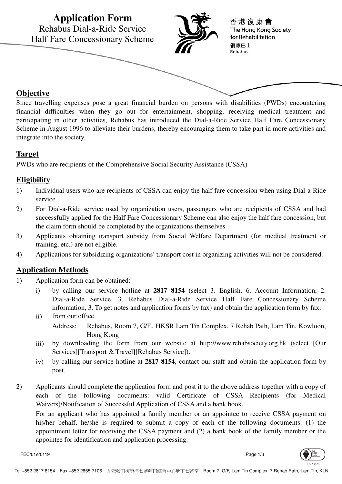

Since travelling expenses pose a great financial burden on persons with disabilities (PWDs) encountering financial difficulties when they go out for entertainment, shopping, receiving medical treatment and participating in other activities, Rehabus has introduced the Dial-a-Ride Service Half Fare Concessionary Scheme in August 1996 to alleviate their burdens, thereby encouraging them to take part in more activities and integrate into the society.

### **Target**

PWDs who are recipients of the Comprehensive Social Security Assistance (CSSA)

### **Eligibility**

- 1) Individual users who are recipients of CSSA can enjoy the half fare concession when using Dial-a-Ride service.
- 2) For Dial-a-Ride service used by organization users, passengers who are recipients of CSSA and had successfully applied for the Half Fare Concessionary Scheme can also enjoy the half fare concession, but the claim form should be completed by the organizations themselves.
- 3) Applicants obtaining transport subsidy from Social Welfare Department (for medical treatment or training, etc.) are not eligible.
- 4) Applications for subsidizing organizations' transport cost in organizing activities will not be considered.

## **Application Methods**

- 1) Application form can be obtained:
	- i) by calling our service hotline at **2817 8154** (select 3. English, 6. Account Information, 2. Dial-a-Ride Service, 3. Rehabus Dial-a-Ride Service Half Fare Concessionary Scheme information, 3. To get notes and application forms by fax) and obtain the application form by fax.
	- ii) from our office. Address: Rehabus, Room 7, G/F., HKSR Lam Tin Complex, 7 Rehab Path, Lam Tin, Kowloon, Hong Kong
	- iii) by downloading the form from our website at http://www.rehabsociety.org.hk (select [Our Services][Transport & Travel][Rehabus Service]).
	- iv) by calling our service hotline at **2817 8154**, contact our staff and obtain the application form by post.
- 2) Applicants should complete the application form and post it to the above address together with a copy of each of the following documents: valid Certificate of CSSA Recipients (for Medical Waivers)/Notification of Successful Application of CSSA and a bank book. For an applicant who has appointed a family member or an appointee to receive CSSA payment on

his/her behalf, he/she is required to submit a copy of each of the following documents: (1) the appointment letter for receiving the CSSA payment and (2) a bank book of the family member or the appointee for identification and application processing.

FEC/01e/0119 Page 1/3

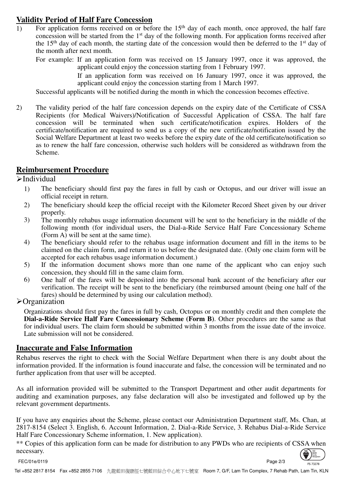# **Validity Period of Half Fare Concession**

1) For application forms received on or before the  $15<sup>th</sup>$  day of each month, once approved, the half fare concession will be started from the 1st day of the following month. For application forms received after the 15th day of each month, the starting date of the concession would then be deferred to the 1st day of the month after next month.

For example: If an application form was received on 15 January 1997, once it was approved, the applicant could enjoy the concession starting from 1 February 1997.

> If an application form was received on 16 January 1997, once it was approved, the applicant could enjoy the concession starting from 1 March 1997.

Successful applicants will be notified during the month in which the concession becomes effective.

2) The validity period of the half fare concession depends on the expiry date of the Certificate of CSSA Recipients (for Medical Waivers)/Notification of Successful Application of CSSA. The half fare concession will be terminated when such certificate/notification expires. Holders of the certificate/notification are required to send us a copy of the new certificate/notification issued by the Social Welfare Department at least two weeks before the expiry date of the old certificate/notification so as to renew the half fare concession, otherwise such holders will be considered as withdrawn from the Scheme.

### **Reimbursement Procedure**

 $\blacktriangleright$ Individual

- 1) The beneficiary should first pay the fares in full by cash or Octopus, and our driver will issue an official receipt in return.
- 2) The beneficiary should keep the official receipt with the Kilometer Record Sheet given by our driver properly.
- 3) The monthly rehabus usage information document will be sent to the beneficiary in the middle of the following month (for individual users, the Dial-a-Ride Service Half Fare Concessionary Scheme (Form A) will be sent at the same time).
- 4) The beneficiary should refer to the rehabus usage information document and fill in the items to be claimed on the claim form, and return it to us before the designated date. (Only one claim form will be accepted for each rehabus usage information document.)
- 5) If the information document shows more than one name of the applicant who can enjoy such concession, they should fill in the same claim form.
- 6) One half of the fares will be deposited into the personal bank account of the beneficiary after our verification. The receipt will be sent to the beneficiary (the reimbursed amount (being one half of the fares) should be determined by using our calculation method).

### **>**Organization

Organizations should first pay the fares in full by cash, Octopus or on monthly credit and then complete the **Dial-a-Ride Service Half Fare Concessionary Scheme (Form B)**. Other procedures are the same as that for individual users. The claim form should be submitted within 3 months from the issue date of the invoice. Late submission will not be considered.

### **Inaccurate and False Information**

Rehabus reserves the right to check with the Social Welfare Department when there is any doubt about the information provided. If the information is found inaccurate and false, the concession will be terminated and no further application from that user will be accepted.

As all information provided will be submitted to the Transport Department and other audit departments for auditing and examination purposes, any false declaration will also be investigated and followed up by the relevant government departments.

If you have any enquiries about the Scheme, please contact our Administration Department staff, Ms. Chan, at 2817-8154 (Select 3. English, 6. Account Information, 2. Dial-a-Ride Service, 3. Rehabus Dial-a-Ride Service Half Fare Concessionary Scheme information, 1. New application).

\*\* Copies of this application form can be made for distribution to any PWDs who are recipients of CSSA when necessary.

FEC/01e/0119 Page 2/3



FS 73278